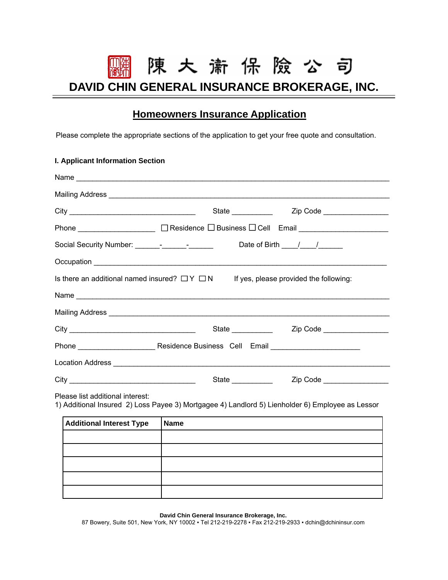## 陳大 萧保 險 公 司 **DAVID CHIN GENERAL INSURANCE BROKERAGE, INC.**

## **Homeowners Insurance Application**

Please complete the appropriate sections of the application to get your free quote and consultation.

## **I. Applicant Information Section**

| Phone _____________________ □ Residence □ Business □ Cell Email ______________________                                                                                                                                               |                                                  |  |  |  |  |  |  |
|--------------------------------------------------------------------------------------------------------------------------------------------------------------------------------------------------------------------------------------|--------------------------------------------------|--|--|--|--|--|--|
| Date of Birth $\frac{1}{\sqrt{2}}$                                                                                                                                                                                                   |                                                  |  |  |  |  |  |  |
|                                                                                                                                                                                                                                      |                                                  |  |  |  |  |  |  |
| Is there an additional named insured? $\Box Y \Box N$ If yes, please provided the following:                                                                                                                                         |                                                  |  |  |  |  |  |  |
|                                                                                                                                                                                                                                      |                                                  |  |  |  |  |  |  |
|                                                                                                                                                                                                                                      |                                                  |  |  |  |  |  |  |
|                                                                                                                                                                                                                                      | State _____________  Zip Code __________________ |  |  |  |  |  |  |
|                                                                                                                                                                                                                                      |                                                  |  |  |  |  |  |  |
| Location Address <b>Lating Contract Contract Contract Contract Contract Contract Contract Contract Contract Contract Contract Contract Contract Contract Contract Contract Contract Contract Contract Contract Contract Contract</b> |                                                  |  |  |  |  |  |  |
| State $\_\_$                                                                                                                                                                                                                         | Zip Code __________________                      |  |  |  |  |  |  |
|                                                                                                                                                                                                                                      |                                                  |  |  |  |  |  |  |

Please list additional interest:

1) Additional Insured 2) Loss Payee 3) Mortgagee 4) Landlord 5) Lienholder 6) Employee as Lessor

| <b>Additional Interest Type</b> | <b>Name</b> |
|---------------------------------|-------------|
|                                 |             |
|                                 |             |
|                                 |             |
|                                 |             |
|                                 |             |

**David Chin General Insurance Brokerage, Inc.** 

87 Bowery, Suite 501, New York, NY 10002 ▪ Tel 212-219-2278 ▪ Fax 212-219-2933 ▪ dchin@dchininsur.com